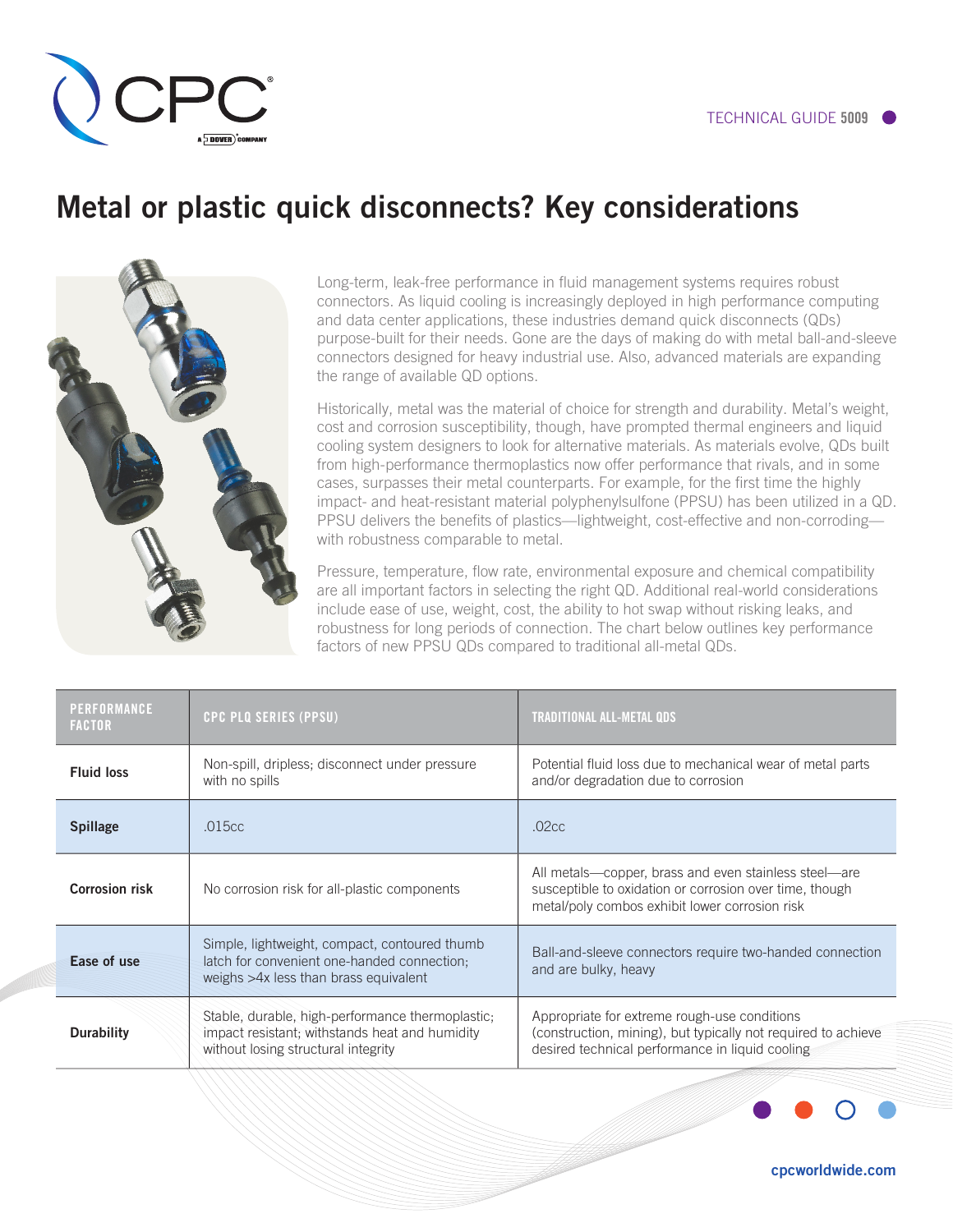## Metal or plastic quick disconnects? Key considerations



Long-term, leak-free performance in fluid management systems requires robust connectors. As liquid cooling is increasingly deployed in high performance computing and data center applications, these industries demand quick disconnects (QDs) purpose-built for their needs. Gone are the days of making do with metal ball-and-sleeve connectors designed for heavy industrial use. Also, advanced materials are expanding the range of available QD options.

Historically, metal was the material of choice for strength and durability. Metal's weight, cost and corrosion susceptibility, though, have prompted thermal engineers and liquid cooling system designers to look for alternative materials. As materials evolve, QDs built from high-performance thermoplastics now offer performance that rivals, and in some cases, surpasses their metal counterparts. For example, for the first time the highly impact- and heat-resistant material polyphenylsulfone (PPSU) has been utilized in a QD. PPSU delivers the benefits of plastics—lightweight, cost-effective and non-corroding with robustness comparable to metal.

Pressure, temperature, flow rate, environmental exposure and chemical compatibility are all important factors in selecting the right QD. Additional real-world considerations include ease of use, weight, cost, the ability to hot swap without risking leaks, and robustness for long periods of connection. The chart below outlines key performance factors of new PPSU QDs compared to traditional all-metal QDs.

| <b>PERFORMANCE</b><br><b>FACTOR</b> | <b>CPC PLQ SERIES (PPSU)</b>                                                                                                              | <b>TRADITIONAL ALL-METAL QDS</b>                                                                                                                                   |
|-------------------------------------|-------------------------------------------------------------------------------------------------------------------------------------------|--------------------------------------------------------------------------------------------------------------------------------------------------------------------|
| <b>Fluid loss</b>                   | Non-spill, dripless; disconnect under pressure<br>with no spills                                                                          | Potential fluid loss due to mechanical wear of metal parts<br>and/or degradation due to corrosion                                                                  |
| <b>Spillage</b>                     | .015cc                                                                                                                                    | .02 <sub>cc</sub>                                                                                                                                                  |
| <b>Corrosion risk</b>               | No corrosion risk for all-plastic components                                                                                              | All metals—copper, brass and even stainless steel—are<br>susceptible to oxidation or corrosion over time, though<br>metal/poly combos exhibit lower corrosion risk |
| Ease of use                         | Simple, lightweight, compact, contoured thumb<br>latch for convenient one-handed connection;<br>weighs >4x less than brass equivalent     | Ball-and-sleeve connectors require two-handed connection<br>and are bulky, heavy                                                                                   |
| <b>Durability</b>                   | Stable, durable, high-performance thermoplastic;<br>impact resistant; withstands heat and humidity<br>without losing structural integrity | Appropriate for extreme rough-use conditions<br>(construction, mining), but typically not required to achieve<br>desired technical performance in liquid cooling   |



cpcworldwide.com